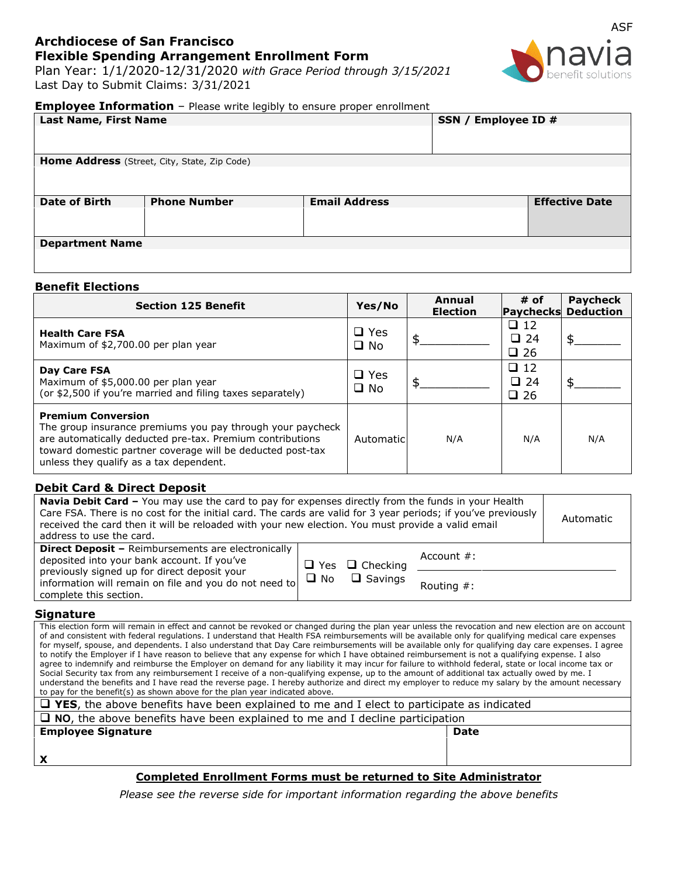# **Archdiocese of San Francisco Flexible Spending Arrangement Enrollment Form**

Plan Year: 1/1/2020-12/31/2020 *with Grace Period through 3/15/2021*  Last Day to Submit Claims: 3/31/2021



## **Employee Information** - Please write legibly to ensure proper enrollment

| <b>Last Name, First Name</b>                 |                     |                      | SSN / Employee ID # |                       |  |
|----------------------------------------------|---------------------|----------------------|---------------------|-----------------------|--|
|                                              |                     |                      |                     |                       |  |
|                                              |                     |                      |                     |                       |  |
| Home Address (Street, City, State, Zip Code) |                     |                      |                     |                       |  |
|                                              |                     |                      |                     |                       |  |
|                                              |                     |                      |                     |                       |  |
|                                              |                     |                      |                     |                       |  |
| <b>Date of Birth</b>                         | <b>Phone Number</b> | <b>Email Address</b> |                     | <b>Effective Date</b> |  |
|                                              |                     |                      |                     |                       |  |
|                                              |                     |                      |                     |                       |  |
|                                              |                     |                      |                     |                       |  |
| <b>Department Name</b>                       |                     |                      |                     |                       |  |
|                                              |                     |                      |                     |                       |  |
|                                              |                     |                      |                     |                       |  |

## **Benefit Elections**

| <b>Section 125 Benefit</b>                                                                                                                                                                                                                                    | Yes/No                        | Annual<br><b>Election</b> | $#$ of<br>Paychecks                       | <b>Pavcheck</b><br><b>Deduction</b> |
|---------------------------------------------------------------------------------------------------------------------------------------------------------------------------------------------------------------------------------------------------------------|-------------------------------|---------------------------|-------------------------------------------|-------------------------------------|
| <b>Health Care FSA</b><br>Maximum of \$2,700.00 per plan year                                                                                                                                                                                                 | $\Box$ Yes<br>$\Box$ No       |                           | $\Box$ 12<br>$\Box$ 24<br>$\Box$ 26       |                                     |
| Day Care FSA<br>Maximum of \$5,000.00 per plan year<br>(or \$2,500 if you're married and filing taxes separately)                                                                                                                                             | $\square$ Yes<br>$\square$ No |                           | $\Box$ 12<br>$\square$ 24<br>$\square$ 26 |                                     |
| <b>Premium Conversion</b><br>The group insurance premiums you pay through your paycheck<br>are automatically deducted pre-tax. Premium contributions<br>toward domestic partner coverage will be deducted post-tax<br>unless they qualify as a tax dependent. | Automaticl                    | N/A                       | N/A                                       | N/A                                 |

## **Debit Card & Direct Deposit**

| <b>Navia Debit Card -</b> You may use the card to pay for expenses directly from the funds in your Health<br>Care FSA. There is no cost for the initial card. The cards are valid for 3 year periods; if you've previously<br>received the card then it will be reloaded with your new election. You must provide a valid email<br>address to use the card. | Automatic |                                   |                |  |
|-------------------------------------------------------------------------------------------------------------------------------------------------------------------------------------------------------------------------------------------------------------------------------------------------------------------------------------------------------------|-----------|-----------------------------------|----------------|--|
| <b>Direct Deposit - Reimbursements are electronically</b><br>deposited into your bank account. If you've<br>$\Box$ Yes<br>previously signed up for direct deposit your<br>information will remain on file and you do not need to<br>complete this section.                                                                                                  |           | $\Box$ Checking<br>$\Box$ Savings | Account $\#$ : |  |
|                                                                                                                                                                                                                                                                                                                                                             |           |                                   | Routing $#$ :  |  |

## **Signature**

This election form will remain in effect and cannot be revoked or changed during the plan year unless the revocation and new election are on account of and consistent with federal regulations. I understand that Health FSA reimbursements will be available only for qualifying medical care expenses for myself, spouse, and dependents. I also understand that Day Care reimbursements will be available only for qualifying day care expenses. I agree to notify the Employer if I have reason to believe that any expense for which I have obtained reimbursement is not a qualifying expense. I also agree to indemnify and reimburse the Employer on demand for any liability it may incur for failure to withhold federal, state or local income tax or Social Security tax from any reimbursement I receive of a non-qualifying expense, up to the amount of additional tax actually owed by me. I understand the benefits and I have read the reverse page. I hereby authorize and direct my employer to reduce my salary by the amount necessary to pay for the benefit(s) as shown above for the plan year indicated above.

| $\Box$ YES, the above benefits have been explained to me and I elect to participate as indicated |             |  |
|--------------------------------------------------------------------------------------------------|-------------|--|
| $\Box$ NO, the above benefits have been explained to me and I decline participation              |             |  |
| <b>Employee Signature</b>                                                                        | <b>Date</b> |  |
|                                                                                                  |             |  |
| $\boldsymbol{\mathsf{x}}$                                                                        |             |  |
|                                                                                                  |             |  |

## **Completed Enrollment Forms must be returned to Site Administrator**

*Please see the reverse side for important information regarding the above benefits*